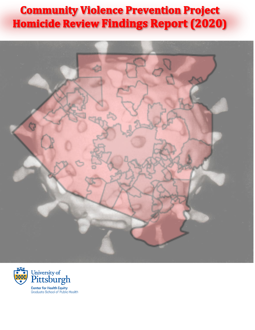# **Community Violence Prevention Project Homicide Review Findings Report (2020)**



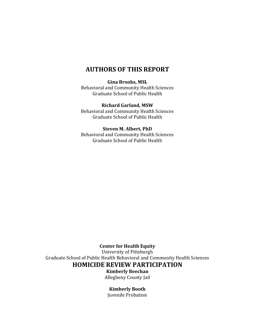### **AUTHORS OF THIS REPORT**

#### **Gina Brooks, MSL**

Behavioral and Community Health Sciences Graduate School of Public Health

#### **Richard Garland, MSW**

Behavioral and Community Health Sciences Graduate School of Public Health

#### **Steven M. Albert, PhD**

Behavioral and Community Health Sciences Graduate School of Public Health

**Center for Health Equity**

University of Pittsburgh Graduate School of Public Health Behavioral and Community Health Sciences **HOMICIDE REVIEW PARTICIPATION**

**Kimberly Beechan** Allegheny County Jail

#### **Kimberly Booth**

Juvenile Probation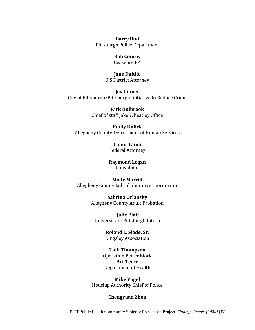**Barry Bud** Pittsburgh Police Department

#### **Rob Conroy**

Ceasefire PA

#### **Jane Daitilo**

U.S District Attorney

**Jay Gilmer** City of Pittsburgh/Pittsburgh Initiative to Reduce Crime

> **Kirk Holbrook**  Chief of staff Jake Wheatley Office

#### **Emily Kulick**

Allegheny County Department of Human Services

**Conor Lamb**  Federal Attorney

**Raymond Logan** Consultant

#### **Molly Morrill** Allegheny County Jail collaborative coordinator

**Sabrina Orlansky**  Allegheny County Adult Probation

**Julie Platt**  University of Pittsburgh Intern

> **Roland L. Slade, Sr.**  Kingsley Association

### **Taili Thompson**

Operation Better Block **Art Terry** Department of Health

**Mike Vogel**  Housing Authority Chief of Police

#### **Chengyuan Zhou**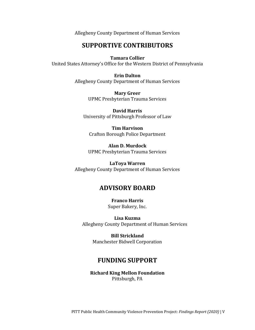Allegheny County Department of Human Services

### **SUPPORTIVE CONTRIBUTORS**

**Tamara Collier** 

United States Attorney's Office for the Western District of Pennsylvania

**Erin Dalton**  Allegheny County Department of Human Services

> **Mary Greer** UPMC Presbyterian Trauma Services

**David Harris**  University of Pittsburgh Professor of Law

**Tim Harvison** Crafton Borough Police Department

**Alan D. Murdock** UPMC Presbyterian Trauma Services

**LaToya Warren** Allegheny County Department of Human Services

### **ADVISORY BOARD**

**Franco Harris** Super Bakery, Inc.

**Lisa Kuzma**  Allegheny County Department of Human Services

**Bill Strickland** Manchester Bidwell Corporation

### **FUNDING SUPPORT**

**Richard King Mellon Foundation** Pittsburgh, PA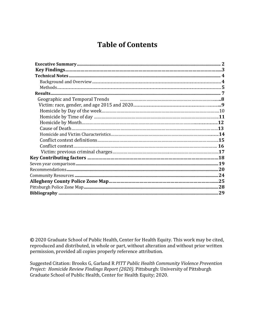## **Table of Contents**

| Geographic and Temporal Trends <b>contract to the Contract of Temporal Trends</b> continuum continuum contract and Temporal Trends |  |
|------------------------------------------------------------------------------------------------------------------------------------|--|
|                                                                                                                                    |  |
|                                                                                                                                    |  |
|                                                                                                                                    |  |
|                                                                                                                                    |  |
|                                                                                                                                    |  |
|                                                                                                                                    |  |
|                                                                                                                                    |  |
|                                                                                                                                    |  |
|                                                                                                                                    |  |
| Key Contributing factors ……………………………………………………………………………………………18                                                                     |  |
|                                                                                                                                    |  |
|                                                                                                                                    |  |
|                                                                                                                                    |  |
|                                                                                                                                    |  |
|                                                                                                                                    |  |
|                                                                                                                                    |  |
|                                                                                                                                    |  |

**©** 2020 Graduate School of Public Health, Center for Health Equity. This work may be cited, reproduced and distributed, in whole or part, without alteration and without prior written permission, provided all copies properly reference attribution.

Suggested Citation: Brooks G, Garland R *PITT Public Health Community Violence Prevention Project: Homicide Review Findings Report (2020).* Pittsburgh: University of Pittsburgh Graduate School of Public Health, Center for Health Equity; 2020.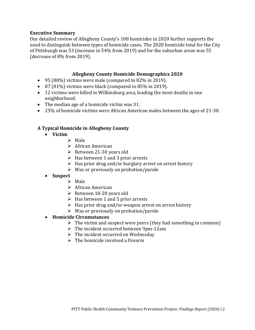#### **Executive Summary**

Our detailed review of Allegheny County's 108 homicides in 2020 further supports the need to distinguish between types of homicide cases. The 2020 homicide total for the City of Pittsburgh was 53 (increase in 54% from 2019) and for the suburban areas was 55 (decrease of 8% from 2019).

#### **Allegheny County Homicide Demographics 2020**

- 95 (88%) victims were male (compared to 82% in 2019).
- 87 (81%) victims were black (compared to 85% in 2019).
- 12 victims were killed in Wilkinsburg area, leading the most deaths in one neighborhood.
- The median age of a homicide victim was 31.
- 25% of homicide victims were African American males between the ages of 21-30.

#### **A Typical Homicide in Allegheny County**

- **Victim**
	- ➢ Male
	- ➢ African American
	- ➢ Between 21-30 years old
	- $\triangleright$  Has between 1 and 3 prior arrests
	- $\triangleright$  Has prior drug and/or burglary arrest on arrest history
	- $\triangleright$  Was or previously on probation/parole

#### • **Suspect**

- ➢ Male
- ➢ African American
- ➢ Between 18-28 years old
- $\triangleright$  Has between 1 and 5 prior arrests
- ➢ Has prior drug and/or weapon arrest on arrest history
- $\triangleright$  Was or previously on probation/parole

#### • **Homicide Circumstances**

- $\triangleright$  The victim and suspect were peers (they had something in common)
- $\triangleright$  The incident occurred between 9pm-12am
- $\triangleright$  The incident occurred on Wednesday
- $\triangleright$  The homicide involved a firearm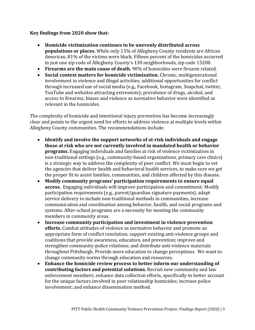#### **Key findings from 2020 show that:**

- **Homicide victimization continues to be unevenly distributed across populations or places.** While only 13% of Allegheny County residents are African American, 81% of the victims were black. Fifteen percent of the homicides occurred in just one zip code of Allegheny County's 130 neighborhoods, zip code 15208.
- **Firearms are the main cause of death.** 90% of homicides were firearm related.
- **Social context matters for homicide victimization.** Chronic, multigenerational involvement in violence and illegal activities; additional opportunities for conflict through increased use of social media (e.g., Facebook, Instagram, Snapchat, twitter, YouTube and websites attracting extremists); prevalence of drugs, alcohol, and access to firearms; biases and violence as normative behavior were identified as relevant in the homicides.

The complexity of homicide and intentional injury prevention has become increasingly clear and points to the urgent need for efforts to address violence at multiple levels within Allegheny County communities. The recommendations include:

- **Identify and involve the support networks of at-risk individuals and engage those at risk who are not currently involved in mandated health or behavior programs.** Engaging individuals and families at risk of violence victimization in non-traditional settings (e.g., community-based organizations, primary care clinics) is a strategic way to address the complexity of peer conflict. We must begin to vet the agencies that deliver health and behavioral health services, to make sure we get the proper fit to assist families, communities, and children affected by this disease.
- **Modify community programs' participation requirements to ensure equal access.** Engaging individuals will improve participation and commitment: Modify participation requirements (e.g., parent/guardian signature payments), adapt service delivery to include non-traditional methods in communities, increase communication and coordination among behavior, health, and social programs and systems. After-school programs are a necessity for meeting the community members in community areas.
- **Increase community participation and investment in violence prevention efforts.** Combat attitudes of violence as normative behavior and promote an appropriate form of conflict resolution; support existing anti-violence groups and coalitions that provide awareness, education, and prevention; improve and strengthen community-police relations; and distribute anti-violence materials throughout Pittsburgh. Provide more education to change perceptions. We want to change community norms through education and resources.
- **Enhance the homicide review process to better inform our understanding of contributing factors and potential solutions.** Recruit new community and law enforcement members; enhance data collection efforts, specifically to better account for the unique factors involved in peer relationship homicides; increase police involvement; and enhance dissemination method.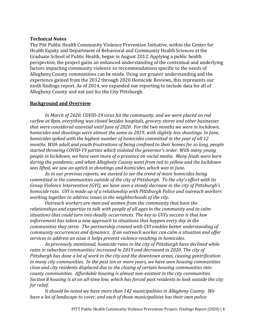#### **Technical Notes**

The Pitt Public Health Community Violence Prevention Initiative, within the Center for Health Equity and Department of Behavioral and Community Health Sciences at the Graduate School of Public Health, began in August 2012. Applying a public health perspective, the project gains an enhanced understanding of the contextual and underlying factors impacting community violence so recommendations specific to the needs of Allegheny County communities can be made. Using our greater understanding and the experience gained from the 2012 through 2020 Homicide Reviews, this represents our ninth findings report. As of 2014, we expanded our reporting to include data for all of Allegheny County and not just for the City Pittsburgh.

#### **Background and Overview**

*In March of 2020, COVID-19 virus hit the community, and we were placed on red curfew at 8pm, everything was closed besides hospitals, grocery stores and other businesses that were considered essential until June of 2020. For the two months we were in lockdown, homicides and shootings were almost the same as 2019, with slightly less shootings. In June, homicides spiked with the highest number of homicides committed in the year of all 12 months. With adult and youth frustrations of being confined to their homes for so long, people started throwing COVID-19 parties which violated the governor's order. With many young people in lockdown, we have seen more of a presence on social media. Many feuds were born during the pandemic, and when Allegheny County went from red to yellow and the lockdown was lifted, we saw an uptick in shootings and homicides, which was in June.* 

*As in our previous reports, we started to see the trend of more homicides being committed in the communities outside of the city of Pittsburgh. To the city's effort with its Group Violence Intervention (GVI), we have seen a steady decrease in the city of Pittsburgh's homicide rate. GVI is made up of a relationship with Pittsburgh Police and outreach workers working together to address issues in the neighborhoods of the city.*

*Outreach workers are men and women from the community that have the relationships and expertise to talk with people of all ages in the community and to calm situations that could turn into deadly occurrences. The key to GVI's success is that law enforcement has taken a new approach to situations that happen every day in the communities they serve. The partnership created with GVI enables better understanding of community occurrences and dynamics. If an outreach worker can calm a situation and offer services to address an issue it helps prevent violence resulting in homicides.* 

*As previously mentioned, homicide rates in the city of Pittsburgh have declined while rates in suburban communities' increased in 2019 and decreased in 2020. The city of Pittsburgh has done a lot of work in the city and the downtown areas, causing gentrification in many city communities. In the past ten or more years, we have seen housing communities close and city residents displaced due to the closing of certain housing communities into county communities. Affordable housing is almost non-existent in the city communities. Section 8 housing is at an all-time low, which has forced past residents to look outside the city for relief.*

*It should be noted we have more than 142 municipalities in Allegheny County. We have a lot of landscape to cover, and each of those municipalities has their own police*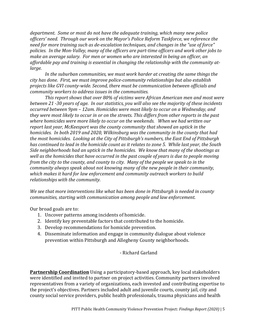*department. Some or most do not have the adequate training, which many new police officers' need. Through our work on the Mayor's Police Reform Taskforce, we reference the need for more training such as de-escalation techniques, and changes in the "use of force" policies. In the Mon-Valley, many of the officers are part-time officers and work other jobs to make an average salary. For men or women who are interested in being an officer, an affordable pay and training is essential in changing the relationship with the community atlarge.* 

*In the suburban communities, we must work harder at creating the same things the city has done. First, we must improve police-community relationships but also establish projects like GVI county-wide. Second, there must be communication between officials and community workers to address issues in the communities.*

*This report shows that over 80% of victims were African American men and most were between 21 -30 years of age. In our statistics, you will also see the majority of these incidents occurred between 9pm – 12am. Homicides were most likely to occur on a Wednesday, and they were most likely to occur in or on the streets. This differs from other reports in the past where homicides were more likely to occur on the weekends. When we had written our report last year, McKeesport was the county community that showed an uptick in the homicides. In both 2019 and 2020, Wilkinsburg was the community in the county that had the most homicides. Looking at the City of Pittsburgh's numbers, the East End of Pittsburgh has continued to lead in the homicide count as it relates to zone 5. While last year, the South Side neighborhoods had an uptick in the homicides. We know that many of the shootings as well as the homicides that have occurred in the past couple of years is due to people moving from the city to the county, and county to city. Many of the people we speak to in the community always speak about not knowing many of the new people in their community, which makes it hard for law enforcement and community outreach workers to build relationships with the community.*

*We see that more interventions like what has been done in Pittsburgh is needed in county communities, starting with communication among people and law enforcement.* 

Our broad goals are to:

- 1. Uncover patterns among incidents of homicide.
- 2. Identify key preventable factors that contributed to the homicide.
- 3. Develop recommendations for homicide prevention.
- 4. Disseminate information and engage in community dialogue about violence prevention within Pittsburgh and Allegheny County neighborhoods.

- Richard Garland

**Partnership Coordination** Using a participatory-based approach, key local stakeholders were identified and invited to partner on project activities. Community partners involved representatives from a variety of organizations, each invested and contributing expertise to the project's objectives. Partners included adult and juvenile courts, county jail, city and county social service providers, public health professionals, trauma physicians and health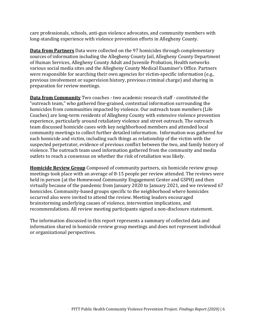care professionals, schools, anti-gun violence advocates, and community members with long-standing experience with violence prevention efforts in Allegheny County.

**Data from Partners** Data were collected on the 97 homicides through complementary sources of information including the Allegheny County Jail, Allegheny County Department of Human Services, Allegheny County Adult and Juvenile Probation, Health networks various social media sites and the Allegheny County Medical Examiner's Office. Partners were responsible for searching their own agencies for victim-specific information (e.g., previous involvement or supervision history, previous criminal charge) and sharing in preparation for review meetings.

**Data from Community** Two coaches - two academic research staff - constituted the "outreach team," who gathered fine-grained, contextual information surrounding the homicides from communities impacted by violence. Our outreach team members (Life Coaches) are long-term residents of Allegheny County with extensive violence prevention experience, particularly around retaliatory violence and street outreach. The outreach team discussed homicide cases with key neighborhood members and attended local community meetings to collect further detailed information. Information was gathered for each homicide and victim, including such things as relationship of the victim with the suspected perpetrator, evidence of previous conflict between the two, and family history of violence. The outreach team used information gathered from the community and media outlets to reach a consensus on whether the risk of retaliation was likely.

**Homicide Review Group** Composed of community partners, six homicide review group meetings took place with an average of 8-15 people per review attended. The reviews were held in person (at the Homewood Community Engagement Center and GSPH) and then virtually because of the pandemic from January 2020 to January 2021, and we reviewed 67 homicides. Community-based groups specific to the neighborhood where homicides occurred also were invited to attend the review. Meeting leaders encouraged brainstorming underlying causes of violence, intervention implications, and recommendations. All review meeting participants signed a non-disclosure statement.

The information discussed in this report represents a summary of collected data and information shared in homicide review group meetings and does not represent individual or organizational perspectives.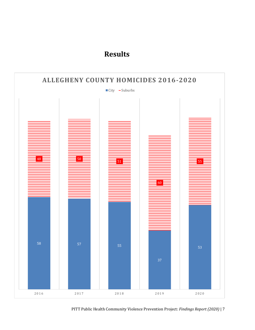### **Results**

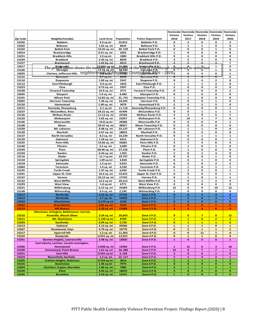|                 |                                                          |                                                       |                               |                                                                           | Homicide<br><b>Victims</b> | <b>Victims</b>              | Homicide Homicide<br><b>Victims</b> | Homicide<br><b>Victims</b> | Homicide<br><b>Victims</b>               |
|-----------------|----------------------------------------------------------|-------------------------------------------------------|-------------------------------|---------------------------------------------------------------------------|----------------------------|-----------------------------|-------------------------------------|----------------------------|------------------------------------------|
| <b>Zip Code</b> | Neighborhood(s)                                          | <b>Land Area</b>                                      | Population                    | <b>Police Department</b>                                                  | 2016                       | 2017                        | 2018                                | 2019                       | 2020                                     |
| 15236           | <b>Baldwin</b>                                           | 5.9 sq mi                                             | 19,812                        | <b>Baldwin P.D.</b>                                                       | 0                          | 2                           | 0                                   | 0                          | з                                        |
| 15202<br>15102  | <b>Bellevue</b><br><b>Bethel Park</b>                    | 1.01 sq. mi<br>10.35 sq. mi                           | 8624<br>29, 529               | Bellevue P.D.<br><b>Bethel Park P.D.</b>                                  | з<br>0                     | 1<br>0                      | $\mathbf{1}$<br>o                   | 0<br>$\mathbf 1$           | o<br>o                                   |
| 15014           | <b>Brackenridge</b>                                      | 0.51 sq. mi                                           | 3262                          | Brackenridge P.D.                                                         | $\mathbf{1}$               | 0                           | 0                                   | 0                          | o                                        |
| 15221           | <b>Braddock Hills</b>                                    | $1.0$ sq mi                                           | 1880                          | <b>Braddock Hills P.D.</b>                                                | 0                          | 4                           | 0                                   | o                          | 0                                        |
| 15104           | <b>Braddock</b>                                          | 2.45 sq. mi                                           | 8839                          | <b>Braddock P.D.</b>                                                      | 3                          | 2                           | 2                                   | 0                          | 4                                        |
| 15227           | <b>Brentwood</b>                                         | 1.45 Sq. mi                                           | 9613                          | Brentwood P.D.                                                            | 2                          | 5.                          | ۵                                   | 2                          | $\mathbf{1}$                             |
| 15017           | The graph above shows the nu                             | 131045 sgr mil<br>111045 sgr milj<br>, 11.16 sg. milj | 16,699                        | Bridgeville B.B.<br>Carnegie P.D.                                         |                            | compared to sub             | <br>H <sup>a</sup> bar              | $\mathbf 1$                | o                                        |
| 15106           |                                                          |                                                       | 77 <del>01000</del><br>18,536 |                                                                           | ΰ                          | Ō                           |                                     | 1                          | 0                                        |
| 15025           | <b>Clairton, Jefferson Hills</b>                         |                                                       |                               | <u>neighborhoodsaff,Allegbery Countydianam 401</u> 6 – 2020. <sub>3</sub> |                            | 0                           | 4                                   | o                          | 1                                        |
| 15216<br>15110  | Dormont<br><b>Duquesne</b>                               | <del>0.7 sq mi</del><br>1.82 sq. mi                   | 8593<br>5547                  | Dormont P.D.<br>Dugesne P.D                                               | 0<br>0                     | Ι<br>$\mathbf{1}$           | ᠳ<br>4                              | o<br>2                     | 0<br>o                                   |
| 15112           | <b>East Pittsburgh</b>                                   | 0.4 sq mi                                             | 1822                          | East Pittsburgh P.D.                                                      | $\mathbf 1$                | 1                           | $\mathbf{1}$                        | 2                          | o                                        |
| 15223           | Etna                                                     | 0.73 sq. mi                                           | 3397                          | Etna P.D.                                                                 | $\mathbf{z}$               | 0                           | 0                                   | 0                          | 0                                        |
| 15238           | <b>Forward Township</b>                                  | 19.9 sq. mi                                           | 3771                          | Forward Township P.D.                                                     | 0                          | 0                           | o                                   | 0                          | 2                                        |
| 15045           | Glasport                                                 | 1.9 sq. mi                                            | 4,483                         | <b>Glassport P.D.</b>                                                     | 0                          | 1                           | o                                   | O                          | o                                        |
| 15101           | <b>Allison Park</b>                                      | 13.82 sq. mi                                          | 21, 741                       | Hampton Township P.D.                                                     | $\mathbf 1$                | $\mathbf{1}$                | 0                                   | 0                          | o                                        |
| 15065           | <b>Harrison Township</b>                                 | 7.36 sq. mi                                           | 10,292                        | Harrison P.D.                                                             | 0                          | 0                           | 0                                   | 1                          | o                                        |
| 15120           | Homestead                                                | 1.90 sq. mi                                           | 3079                          | Homestead P.D.                                                            | $\mathbf{z}$               | 0                           | 2                                   | 5                          | 0                                        |
| 15215           | Kennedy, Sharpsburg                                      | 6.1 sq mi                                             | 11.118                        | Kennedy/Sharpsburg P.D.                                                   | 0                          | 0                           | o                                   | 0                          | $\mathbf{1}$                             |
| 15237<br>15136  | <b>McCandless, Ross</b><br><b>McKees Rocks</b>           | 24.21 sq. mi<br>11.13 sq. mi                          | 41499<br>23184                | <b>McCandless P.D.</b><br><b>McKees Rocks P.D</b>                         | 0<br>3                     | 0<br>3                      | $\mathbf{1}$<br>9                   | 1<br>5                     | $\mathbf{1}$<br>$\overline{\phantom{a}}$ |
| 15132           | <b>McKeesport</b>                                        | 5.65 sq. mi                                           | 21057                         | McKeesport P.D.                                                           | 4                          | 14                          | 5                                   | 7                          | 6                                        |
| 15146           | <b>Monroeville</b>                                       | 19.8 sq mi                                            | 28386                         | Monroeville P.D.                                                          | 0                          | 0                           | 0                                   | 0                          | $\mathbf{1}$                             |
| 15108           | Moon                                                     | 39.47 sq. mi                                          | 38927                         | Moon Township P.D.                                                        | 0                          | 0                           | 0                                   | 0                          | o                                        |
| 15228           | Mt. Lebanon                                              | 6.08 sq. mi                                           | 33,137                        | Mt. Lebanon P.D.                                                          | 0                          | $\mathbf{1}$                | $\mathbf{1}$                        | 0                          | o                                        |
| 15120           | Munhall                                                  | 4.67 sq. mi                                           | 18833                         | Munhall P.D.                                                              | 0                          | 0                           | $\mathbf{z}$                        | 0                          | 0                                        |
| 15137           | <b>North Versailles</b>                                  | 8.2 sq. mi                                            | 10,229                        | North Versailes P.D.                                                      | 0                          | 0                           | 1                                   | 1                          | $\mathbf{1}$                             |
| 15139           | <b>Oakmont</b>                                           | 1.59 sq. mi                                           | 6412                          | <b>Oakmont P.D.</b>                                                       | ${\bf 1}$                  | 0                           | 0                                   | O                          | ${\bf 1}$                                |
| 15235<br>15140  | <b>Penn Hills</b><br>Pitcairn                            | 14.66 sq. mi                                          | 33681<br>3,689                | Penn Hills P.D.<br>Pitcairn P.D.                                          | 3<br>0                     | 7<br>$\mathbf{1}$           | 4<br>0                              | 6<br>1                     | 4<br>0                                   |
| 15239           | Plum                                                     | 3.5 sq. mi<br>28.96 sq. mi                            | 27,126                        | Plum P.D.                                                                 | 0                          | $\mathbf{1}$                | 0                                   | 0                          | o                                        |
| 15104           | Rankin                                                   | 0.44 sq. mi                                           | 1,955                         | Rankin P.D.                                                               | $\mathbf{z}$               | 0                           | $\mathbf 1$                         | 3                          | 0                                        |
| 15116           | Shaler                                                   | 11.7 sq mi                                            | 29,757                        | Shaler P.D.                                                               | 0                          | 0                           | 0                                   | $\mathbf 1$                | o                                        |
| 15144           | Springdale                                               | 1.09 sq mi                                            | 3,828                         | Springdale P.D.                                                           | 0                          | 0                           | 1                                   | 0                          | 0                                        |
| 15218           | Swissvale                                                | $1.3$ sq mi                                           | 9,653                         | Swissvale P.D.                                                            | 0                          | 5                           | o                                   | $\mathbf{2}$               | $\mathbf{2}$                             |
| 15084           | Tarentum                                                 | 1.4 sq. mi                                            | 4,530                         | Tarentum P.D.                                                             | 0                          | 1                           | 0                                   | $\mathbf 1$                | 1                                        |
| 15145           | <b>Turtle Creek</b>                                      | 1.97 sq. mi                                           | 6,945                         | Turtle Creek P.D.                                                         | $\mathbf 1$                | $\overline{\mathbf{2}}$     | 0                                   | O                          | ${\bf 1}$                                |
| 15241<br>15147  | <b>Upper St. Clair</b><br>Verona                         | 10.4 sq. mi<br>10.12 sq. mi                           | 19,651<br>17743               | Upper St. Clair P.D.<br>Verona P.D.                                       | 0<br>0                     | 0<br>$\mathbf{1}$           | o<br>0                              | 0<br>$\mathbf{1}$          | $\mathbf{1}$<br>$\mathbf{1}$             |
| 15122           | West Mifflin                                             | 14.2 sq mi                                            | 20,313                        | West Mifflin P.D.                                                         | 3                          | 0                           | $\mathbf{1}$                        | 2                          | 4                                        |
| 15229           | <b>West View</b>                                         | $1.0$ sq mi                                           | 6771                          | West View P.D.                                                            | 0                          | 0                           | o                                   | 0                          | $\mathbf 0$                              |
| 15221           | Wilkinsburg                                              | 6.15 sq. mi                                           | 31069                         | Wilkinsburg P.D.                                                          | 12                         | 0                           | 9                                   | 10                         | 12                                       |
| 15148           | Wilmerding                                               | 0.4 sq. mi                                            | 2,190                         | Wilmerding P.D.                                                           | 1                          | 0                           | o                                   | 0                          | 0                                        |
| 15212           | <b>Northside</b>                                         | 6.22 sq. mi                                           | 27135                         | Zone 1 P.D.                                                               | 9                          | 6                           | 4                                   | 4                          | 8                                        |
| 15214           | <b>Northside</b>                                         | 4.7 sq. mi                                            | 14293                         | Zone 1 P.D.                                                               | $\overline{z}$             | $\overline{\mathbf{z}}$     | $\mathbf{0}$                        | 3                          | з                                        |
| 15233           | <b>Manchester</b>                                        | 0.279 sq mi                                           | 2130                          | Zone 1 P.D.                                                               | $\mathbf{o}$               | $\mathbf{z}$                | $\mathbf{o}$                        | $\bf{0}$                   | $\bf{0}$                                 |
| 15222<br>15219  | <b>Strip District</b><br><b>Hill District</b>            | 0.81 sq. mi<br>2.29 sq. mi                            | 3525<br>17684                 | Zone 2 P.D<br>Zone 2 P.D.                                                 | $\mathbf{1}$<br>3          | $\bf{0}$<br>5               | O<br>4                              | $\mathbf{1}$<br>6          | $\bf{0}$<br>$\overline{a}$               |
|                 | Allentown, Arlington, Beltzhoover, Carrick,              |                                                       |                               |                                                                           |                            |                             |                                     |                            |                                          |
| 15210           | <b>Knoxville, Mount Oliver</b>                           | 3.34 sq. mi                                           | 20,663                        | Zone 3 P.D.                                                               | 9                          | $\bullet$                   | $\overline{\mathbf{z}}$             | $\bullet$                  | <u>11</u>                                |
| 15211           | <b>Mt. Washinton</b>                                     | 1.139 sq mi                                           | 8799                          | Zone 3 P.D.                                                               | $\mathbf{1}$               | $\mathbf{1}$                | $\mathbf{o}$                        | $\overline{2}$             | $\overline{2}$                           |
| 15203           | <b>Southside</b>                                         | 0.94 sq. mi                                           | 5,726                         | Zone 3 P.D.                                                               | $\bullet$                  | $\mathbf{1}$                | $\mathbf{1}$                        | $\mathbf{1}$               | $\bullet$                                |
| 15213           | <b>Oakland</b>                                           | 2.13 sq. mi                                           | 25066                         | Zone 4 P.D.                                                               | $\mathbf{1}$               | $\mathbf{1}$                | $\mathbf{1}$                        | 0                          | $\mathbf{1}$                             |
| 15207           | <b>Hazelwood, Hays</b>                                   | 4.79 sq. mi                                           | 10779                         | Zone 4 P.D.                                                               | $\mathbf 0$                | 2                           | $\mathbf{1}$                        | $\mathbf 1$                | 2                                        |
| 15217           | <b>Squirrell Hill</b>                                    | 1.2 sq. mi                                            | 11,363                        | Zone 4 P.D.                                                               | $\mathbf 0$                | 0                           | 11                                  | $\mathbf 1$                | $\mathbf 0$                              |
| 15232<br>15201  | <b>Shadyside</b><br><b>Stanton Heights, Lawrencville</b> | 0.921 sq. mi<br>2.48 sq. mi                           | 13,915<br>12850               | Zone 4 P.D.<br>Zone 5 P.D.                                                | $\mathbf o$<br>${\bf 1}$   | $\mathbf{1}$<br>0           | $\mathbf{1}$<br>$\bf{0}$            | $\bf o$<br>$\bf o$         | $\bf o$<br>$\mathbf{1}$                  |
|                 | East Liberty, Larimer, Lincoln Lemington,                |                                                       |                               |                                                                           |                            |                             |                                     |                            |                                          |
| 15206           | Homewood                                                 | 2.838 sq. mi                                          | 12584                         | Zone 5 P.D.                                                               | 1                          | 12                          | 6                                   | з                          | 16                                       |
| 15208           | <b>Homewood, Point Breeze</b>                            | 1.61 sq. mi                                           | 10,486                        | Zone 5 P.D.                                                               | 10                         | 8                           | $\overline{\mathbf{z}}$             | $\overline{\mathbf{z}}$    | ${\bf 1}$                                |
| 15221           | <b>East Hills</b>                                        | 0.541 sq mi                                           | 3, 169                        | Zone 5 P.D.                                                               | $\mathbf{z}$               | 0                           | 6                                   | 1                          | 0                                        |
| 15224           | <b>Bloomfield, Garfield,</b>                             | 1.2 sq. mi                                            | 12, 117                       | Zone 5 P.D.                                                               | 3                          | $\mathbf{z}$                | 4                                   | $\mathbf{z}$               | $\mathbf{1}$                             |
| 15205           | <b>Crafton Heights, Robinson</b>                         | 0.754 sq mi                                           | 3814                          | Zone 6 P.D.                                                               | 2                          | 2                           | ${\bf 1}$                           | 2                          | 2                                        |
| 15216           | <b>Beechview</b>                                         | 1.46 sq mi                                            | 7974                          | Zone 6 P.D.                                                               | $\mathbf 0$                | $\mathbf 0$                 | $\mathbf 0$                         | 0                          | $\mathbf 0$                              |
| 15204<br>15220  | <b>Chartiers, Esplen, Sheraden</b><br><b>Elliot</b>      | 1.86 sq. mi<br>4.94 sq. mi                            | 7986<br>18023                 | Zone 6 P.D.<br>Zone 6 P.D.                                                | 4<br>$\mathbf{z}$          | $\mathbf{1}$<br>$\mathbf 0$ | $\mathbf 1$<br>$\mathbf 0$          | 2<br>$\mathbf 0$           | $\mathbf 1$<br>$\mathbf 0$               |
| 15226           | <b>Brookline</b>                                         | 2.54 sq. mi                                           | 13551                         | Zone 6 P.D.                                                               | ${\bf 1}$                  | $\mathbf{o}$                | $\mathbf{o}$                        | $\mathbf{o}$               | $\mathbf 0$                              |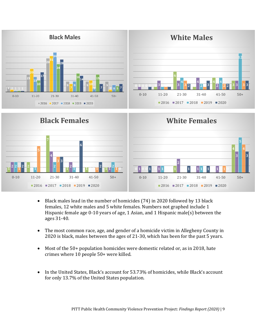



- Black males lead in the number of homicides (74) in 2020 followed by 13 black females, 12 white males and 5 white females. Numbers not graphed include 1 Hispanic female age 0-10 years of age, 1 Asian, and 1 Hispanic male(s) between the ages 31-40.
- The most common race, age, and gender of a homicide victim in Allegheny County in is black, males between the ages of 21-30, which has been for the past 5 years.
- Most of the 50+ population homicides were domestic related or, as in 2018, hate crimes where 10 people 50+ were killed.
- In the United States, Black's account for 53.73% of homicides, while Black's account for only 13.7% of the United States population.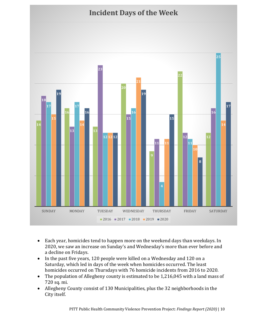

- Each year, homicides tend to happen more on the weekend days than weekdays. In 2020, we saw an increase on Sunday's and Wednesday's more than ever before and a decline on Fridays.
- In the past five years, 120 people were killed on a Wednesday and 120 on a Saturday, which led in days of the week when homicides occurred. The least homicides occurred on Thursdays with 76 homicide incidents from 2016 to 2020.
- The population of Allegheny county is estimated to be 1,216,045 with a land mass of 720 sq. mi.
- Allegheny County consist of 130 Municipalities, plus the 32 neighborhoods in the City itself.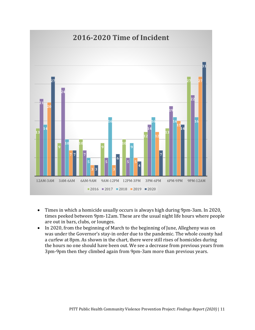

- Times in which a homicide usually occurs is always high during 9pm-3am. In 2020, times peeked between 9pm-12am. These are the usual night life hours where people are out in bars, clubs, or lounges.
- In 2020, from the beginning of March to the beginning of June, Allegheny was on was under the Governor's stay-in order due to the pandemic. The whole county had a curfew at 8pm. As shown in the chart, there were still rises of homicides during the hours no one should have been out. We see a decrease from previous years from 3pm-9pm then they climbed again from 9pm-3am more than previous years.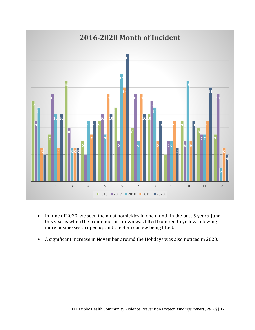

- In June of 2020, we seen the most homicides in one month in the past 5 years. June this year is when the pandemic lock down was lifted from red to yellow, allowing more businesses to open up and the 8pm curfew being lifted.
- A significant increase in November around the Holidays was also noticed in 2020.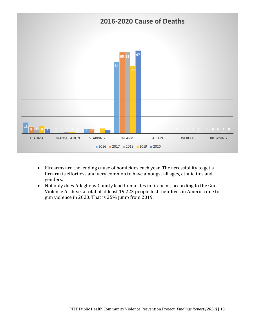

- Firearms are the leading cause of homicides each year. The accessibility to get a firearm is effortless and very common to have amongst all ages, ethnicities and genders.
- Not only does Allegheny County lead homicides in firearms, according to the Gun Violence Archive, a total of at least 19,223 people lost their lives in America due to gun violence in 2020. That is 25% jump from 2019.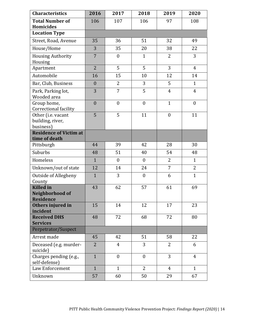| <b>Characteristics</b>                                  | 2016             | 2017             | 2018             | 2019           | 2020             |
|---------------------------------------------------------|------------------|------------------|------------------|----------------|------------------|
| <b>Total Number of</b><br><b>Homicides</b>              | 106              | 107              | 106              | 97             | 108              |
| <b>Location Type</b>                                    |                  |                  |                  |                |                  |
| Street, Road, Avenue                                    | 35               | 36               | 51               | 32             | 49               |
| House/Home                                              | 3                | 35               | 20               | 38             | 22               |
| <b>Housing Authority</b><br>Housing                     | $\overline{7}$   | $\boldsymbol{0}$ | $\mathbf{1}$     | 2              | 3                |
| Apartment                                               | $\overline{2}$   | 5                | 5                | 3              | $\overline{4}$   |
| Automobile                                              | 16               | 15               | 10               | 12             | 14               |
| Bar, Club, Business                                     | $\boldsymbol{0}$ | $\overline{2}$   | 3                | 5              | $\mathbf{1}$     |
| Park, Parking lot,<br>Wooded area                       | 3                | $\overline{7}$   | 5                | $\overline{4}$ | $\overline{4}$   |
| Group home,<br>Correctional facility                    | $\mathbf{0}$     | $\boldsymbol{0}$ | $\boldsymbol{0}$ | $\mathbf{1}$   | $\boldsymbol{0}$ |
| Other (i.e. vacant<br>building, river,<br>business)     | 5                | 5                | 11               | $\mathbf{0}$   | 11               |
| <b>Residence of Victim at</b><br>time of death          |                  |                  |                  |                |                  |
| Pittsburgh                                              | 44               | 39               | 42               | 28             | 30               |
| Suburbs                                                 | 48               | 51               | 40               | 54             | 48               |
| Homeless                                                | $\mathbf{1}$     | $\boldsymbol{0}$ | $\boldsymbol{0}$ | $\overline{2}$ | $\mathbf{1}$     |
| Unknown/out of state                                    | 12               | 14               | 24               | $\overline{7}$ | $\overline{2}$   |
| <b>Outside of Allegheny</b><br>County                   | $\mathbf{1}$     | 3                | $\boldsymbol{0}$ | 6              | $\mathbf{1}$     |
| <b>Killed</b> in<br>Neighborhood of<br><b>Residence</b> | 43               | 62               | 57               | 61             | 69               |
| Others injured in<br>incident                           | 15               | 14               | 12               | 17             | 23               |
| <b>Received DHS</b><br><b>Services</b>                  | 48               | 72               | 68               | 72             | 80               |
| Perpetrator/Suspect                                     |                  |                  |                  |                |                  |
| Arrest made                                             | 45               | 42               | 51               | 58             | 22               |
| Deceased (e.g. murder-<br>suicide)                      | $\overline{2}$   | $\overline{4}$   | 3                | $\overline{2}$ | 6                |
| Charges pending (e.g.,<br>self-defense)                 | $\mathbf{1}$     | $\boldsymbol{0}$ | $\boldsymbol{0}$ | 3              | $\overline{4}$   |
| Law Enforcement                                         | $\mathbf{1}$     | $\mathbf{1}$     | $\overline{2}$   | $\overline{4}$ | $\mathbf{1}$     |
| Unknown                                                 | 57               | 60               | 50               | 29             | 67               |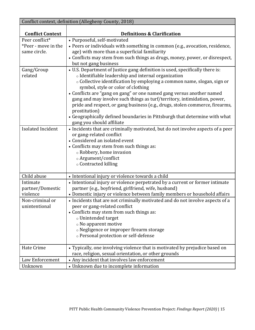| Conflict context, definition (Allegheny County, 2018) |                                                                                 |  |  |  |  |  |  |
|-------------------------------------------------------|---------------------------------------------------------------------------------|--|--|--|--|--|--|
|                                                       |                                                                                 |  |  |  |  |  |  |
| <b>Conflict Context</b>                               | <b>Definitions &amp; Clarification</b>                                          |  |  |  |  |  |  |
| Peer conflict*                                        | • Purposeful, self-motivated                                                    |  |  |  |  |  |  |
| *Peer - move in the                                   | • Peers or individuals with something in common (e.g., avocation, residence,    |  |  |  |  |  |  |
| same circle.                                          | age) with more than a superficial familiarity                                   |  |  |  |  |  |  |
|                                                       | • Conflicts may stem from such things as drugs, money, power, or disrespect,    |  |  |  |  |  |  |
|                                                       | but not gang business                                                           |  |  |  |  |  |  |
| Gang/Group                                            | • U.S. Department of Justice gang definition is used, specifically there is:    |  |  |  |  |  |  |
| related                                               | o Identifiable leadership and internal organization                             |  |  |  |  |  |  |
|                                                       | o Collective identification by employing a common name, slogan, sign or         |  |  |  |  |  |  |
|                                                       | symbol, style or color of clothing                                              |  |  |  |  |  |  |
|                                                       | • Conflicts are "gang on gang" or one named gang versus another named           |  |  |  |  |  |  |
|                                                       | gang and may involve such things as turf/territory, intimidation, power,        |  |  |  |  |  |  |
|                                                       | pride and respect, or gang business (e.g., drugs, stolen commerce, firearms,    |  |  |  |  |  |  |
|                                                       | prostitution)                                                                   |  |  |  |  |  |  |
|                                                       | • Geographically defined boundaries in Pittsburgh that determine with what      |  |  |  |  |  |  |
|                                                       | gang you should affiliate                                                       |  |  |  |  |  |  |
| <b>Isolated Incident</b>                              | • Incidents that are criminally motivated, but do not involve aspects of a peer |  |  |  |  |  |  |
|                                                       | or gang-related conflict                                                        |  |  |  |  |  |  |
|                                                       | • Considered an isolated event                                                  |  |  |  |  |  |  |
|                                                       | • Conflicts may stem from such things as:                                       |  |  |  |  |  |  |
|                                                       | ○ Robbery, home invasion                                                        |  |  |  |  |  |  |
|                                                       | o Argument/conflict<br>○ Contracted killing                                     |  |  |  |  |  |  |
|                                                       |                                                                                 |  |  |  |  |  |  |
| Child abuse                                           | • Intentional injury or violence towards a child                                |  |  |  |  |  |  |
| Intimate                                              | • Intentional injury or violence perpetrated by a current or former intimate    |  |  |  |  |  |  |
| partner/Domestic                                      | partner (e.g., boyfriend, girlfriend, wife, husband)                            |  |  |  |  |  |  |
| violence                                              | • Domestic injury or violence between family members or household affairs       |  |  |  |  |  |  |
| Non-criminal or                                       | • Incidents that are not criminally motivated and do not involve aspects of a   |  |  |  |  |  |  |
| unintentional                                         | peer or gang-related conflict                                                   |  |  |  |  |  |  |
|                                                       | • Conflicts may stem from such things as:                                       |  |  |  |  |  |  |
|                                                       | o Unintended target                                                             |  |  |  |  |  |  |
|                                                       | $\circ$ No apparent motive                                                      |  |  |  |  |  |  |
|                                                       | o Negligence or improper firearm storage                                        |  |  |  |  |  |  |
|                                                       | o Personal protection or self-defense                                           |  |  |  |  |  |  |
| <b>Hate Crime</b>                                     | • Typically, one involving violence that is motivated by prejudice based on     |  |  |  |  |  |  |
|                                                       | race, religion, sexual orientation, or other grounds                            |  |  |  |  |  |  |
| Law Enforcement                                       | • Any incident that involves law enforcement                                    |  |  |  |  |  |  |
| Unknown                                               | • Unknown due to incomplete information                                         |  |  |  |  |  |  |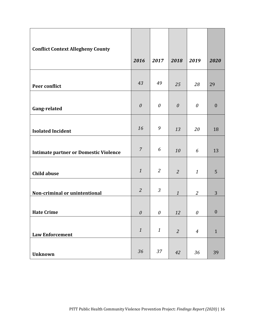| <b>Conflict Context Allegheny County</b>     | 2016                      | 2017                      | 2018             | 2019                                         | 2020             |
|----------------------------------------------|---------------------------|---------------------------|------------------|----------------------------------------------|------------------|
|                                              |                           |                           |                  |                                              |                  |
| Peer conflict                                | 43                        | 49                        | 25               | 28                                           | 29               |
| Gang-related                                 | $\boldsymbol{\mathit{0}}$ | $\theta$                  | $\theta$         | $\boldsymbol{\mathit{0}}$                    | $\boldsymbol{0}$ |
| <b>Isolated Incident</b>                     | 16                        | 9                         | 13               | 20                                           | 18               |
| <b>Intimate partner or Domestic Violence</b> | $\overline{7}$            | 6                         | 10               | 6                                            | 13               |
| <b>Child abuse</b>                           | $\mathbf{1}$              | $\overline{2}$            | $\overline{2}$   | $\mathbf{1}$                                 | 5                |
| Non-criminal or unintentional                | $\overline{2}$            | $\mathfrak{Z}$            | $\boldsymbol{1}$ | $\overline{2}$                               | 3                |
| <b>Hate Crime</b>                            | $\boldsymbol{\theta}$     | $\boldsymbol{\mathit{0}}$ | 12               | $\mathcal{O}% _{M}\left( \mathcal{M}\right)$ | $\boldsymbol{0}$ |
| <b>Law Enforcement</b>                       | $\boldsymbol{1}$          | $\mathbf{1}$              | $\overline{2}$   | $\boldsymbol{4}$                             | $\mathbf{1}$     |
| <b>Unknown</b>                               | 36                        | 37                        | 42               | 36                                           | 39               |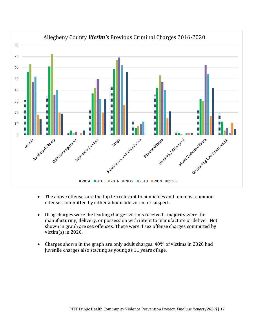

- The above offenses are the top ten relevant to homicides and ten most common offenses committed by either a homicide victim or suspect.
- Drug charges were the leading charges victims received majority were the manufacturing, delivery, or possession with intent to manufacture or deliver. Not shown in graph are sex offenses. There were 4 sex offense charges committed by victim(s) in 2020.
- Charges shown in the graph are only adult charges, 40% of victims in 2020 had juvenile charges also starting as young as 11 years of age.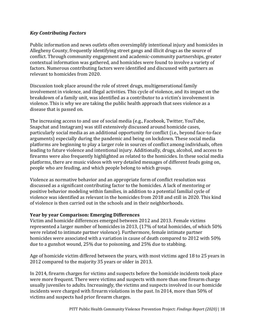#### *Key Contributing Factors*

Public information and news outlets often oversimplify intentional injury and homicides in Allegheny County, frequently identifying street gangs and illicit drugs as the source of conflict. Through community engagement and academic-community partnerships, greater contextual information was gathered, and homicides were found to involve a variety of factors. Numerous contributing factors were identified and discussed with partners as relevant to homicides from 2020.

Discussion took place around the role of street drugs, multigenerational family involvement in violence, and illegal activities. This cycle of violence, and its impact on the breakdown of a family unit, was identified as a contributor to a victim's involvement in violence. This is why we are taking the public health approach that sees violence as a disease that is passed on.

The increasing access to and use of social media (e.g., Facebook, Twitter, YouTube, Snapchat and Instagram) was still extensively discussed around homicide cases, particularly social media as an additional opportunity for conflict (i.e., beyond face-to-face arguments) especially during the pandemic and being on lockdown. These social media platforms are beginning to play a larger role in sources of conflict among individuals, often leading to future violence and intentional injury. Additionally, drugs, alcohol, and access to firearms were also frequently highlighted as related to the homicides. In these social media platforms, there are music videos with very detailed messages of different feuds going on, people who are feuding, and which people belong to which groups.

Violence as normative behavior and an appropriate form of conflict resolution was discussed as a significant contributing factor to the homicides. A lack of mentoring or positive behavior modeling within families, in addition to a potential familial cycle of violence was identified as relevant in the homicides from 2018 and still in 2020. This kind of violence is then carried out in the schools and in their neighborhoods.

#### **Year by year Comparison: Emerging Differences**

Victim and homicide differences emerged between 2012 and 2013. Female victims represented a larger number of homicides in 2013, (17% of total homicides, of which 50% were related to intimate partner violence). Furthermore, female intimate partner homicides were associated with a variation in cause of death compared to 2012 with 50% due to a gunshot wound, 25% due to poisoning, and 25% due to stabbing.

Age of homicide victim differed between the years, with most victims aged 18 to 25 years in 2012 compared to the majority 35 years or older in 2013.

In 2014, firearm charges for victims and suspects before the homicide incidents took place were more frequent. There were victims and suspects with more than one firearm charge usually juveniles to adults. Increasingly, the victims and suspects involved in our homicide incidents were charged with firearm violations in the past. In 2014, more than 50% of victims and suspects had prior firearm charges.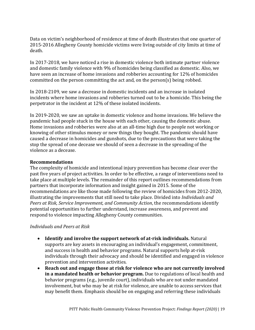Data on victim's neighborhood of residence at time of death illustrates that one quarter of 2015-2016 Allegheny County homicide victims were living outside of city limits at time of death.

In 2017-2018, we have noticed a rise in domestic violence both intimate partner violence and domestic family violence with 9% of homicides being classified as domestic. Also, we have seen an increase of home invasions and robberies accounting for 12% of homicides committed on the person committing the act and, on the person(s) being robbed.

In 2018-2109, we saw a decrease in domestic incidents and an increase in isolated incidents where home invasions and robberies turned out to be a homicide. This being the perpetrator in the incident at 12% of these isolated incidents.

In 2019-2020, we saw an uptake in domestic violence and home invasions. We believe the pandemic had people stuck in the house with each other, causing the domestic abuse. Home invasions and robberies were also at an all-time high due to people not working or knowing of other stimulus money or new things they bought. The pandemic should have caused a decrease in homicides and gunshots, due to the precautions that were taking the stop the spread of one decease we should of seen a decrease in the spreading of the violence as a decease.

#### **Recommendations**

The complexity of homicide and intentional injury prevention has become clear over the past five years of project activities. In order to be effective, a range of interventions need to take place at multiple levels. The remainder of this report outlines recommendations from partners that incorporate information and insight gained in 2015. Some of the recommendations are like those made following the review of homicides from 2012-2020, illustrating the improvements that still need to take place. Divided into *Individuals and Peers at Risk, Service Improvement, and Community Action*, the recommendations identify potential opportunities to further understand, increase awareness, and prevent and respond to violence impacting Allegheny County communities.

#### *Individuals and Peers at Risk*

- **Identify and involve the support network of at-risk individuals.** Natural supports are key assets in encouraging an individual's engagement, commitment, and success in health and behavior programs. Natural supports help at-risk individuals through their advocacy and should be identified and engaged in violence prevention and intervention activities.
- **Reach out and engage those at risk for violence who are not currently involved in a mandated health or behavior program.** Due to regulations of local health and behavior programs (e.g., juvenile court), individuals who are not under mandated involvement, but who may be at risk for violence, are unable to access services that may benefit them. Emphasis should be on engaging and referring these individuals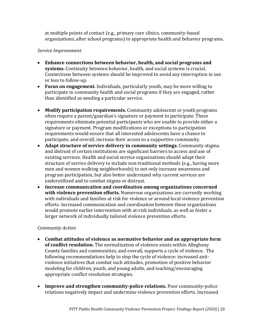at multiple points of contact (e.g., primary care clinics, community-based organizations, after school programs) to appropriate health and behavior programs.

#### *Service Improvement*

- **Enhance connections between behavior, health, and social programs and systems.** Continuity between behavior, health, and social systems is crucial. Connections between systems should be improved to avoid any interruption in use or loss to follow-up.
- **Focus on engagement.** Individuals, particularly youth, may be more willing to participate in community health and social programs if they are engaged, rather than identified as needing a particular service.
- **Modify participation requirements.** Community adolescent or youth programs often require a parent/guardian's signature or payment to participate. These requirements eliminate potential participants who are unable to provide either a signature or payment. Program modifications or exceptions to participation requirements would ensure that all interested adolescents have a chance to participate, and overall, increase their access to a supportive community.
- **Adapt structure of service delivery in community settings.** Community stigma and distrust of certain institutions are significant barriers to access and use of existing services. Health and social service organizations should adapt their structure of service delivery to include non-traditional methods (e.g., having more men and women walking neighborhoods) to not only increase awareness and program participation, but also better understand why current services are underutilized and to combat stigma or distrust.
- **Increase communication and coordination among organizations concerned with violence prevention efforts.** Numerous organizations are currently working with individuals and families at risk for violence or around local violence prevention efforts. Increased communication and coordination between these organizations would promote earlier intervention with at-risk individuals, as well as foster a larger network of individually tailored violence prevention efforts.

#### *Community Action*

- **Combat attitudes of violence as normative behavior and an appropriate form of conflict resolution.** The normalization of violence exists within Allegheny County families and communities, and overall, supports a cycle of violence. The following recommendations help to stop the cycle of violence: increased antiviolence initiatives that combat such attitudes, promotion of positive behavior modeling for children, youth, and young adults, and teaching/encouraging appropriate conflict resolution strategies.
- **Improve and strengthen community-police relations.** Poor community-police relations negatively impact and undermine violence prevention efforts. Increased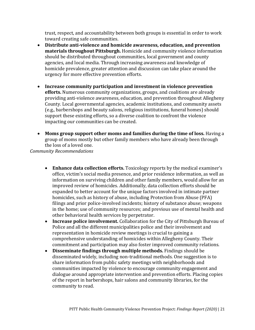trust, respect, and accountability between both groups is essential in order to work toward creating safe communities.

- **Distribute anti-violence and homicide awareness, education, and prevention materials throughout Pittsburgh.** Homicide and community violence information should be distributed throughout communities, local government and county agencies, and local media. Through increasing awareness and knowledge of homicide prevalence, greater attention and discussion can take place around the urgency for more effective prevention efforts.
- **Increase community participation and investment in violence prevention efforts.** Numerous community organizations, groups, and coalitions are already providing anti-violence awareness, education, and prevention throughout Allegheny County. Local governmental agencies, academic institutions, and community assets (e.g., barbershops and beauty salons, religious institutions, funeral homes) should support these existing efforts, so a diverse coalition to confront the violence impacting our communities can be created.
- **Moms group support other moms and families during the time of loss.** Having a group of moms mostly but other family members who have already been through the loss of a loved one.

*Community Recommendations*

- **Enhance data collection efforts.** Toxicology reports by the medical examiner's office, victim's social media presence, and prior residence information, as well as information on surviving children and other family members, would allow for an improved review of homicides. Additionally, data collection efforts should be expanded to better account for the unique factors involved in intimate partner homicides, such as history of abuse, including Protection from Abuse (PFA) filings and prior police-involved incidents; history of substance abuse; weapons in the home; use of community resources; and previous use of mental health and other behavioral health services by perpetrator.
- **Increase police involvement.** Collaboration for the City of Pittsburgh Bureau of Police and all the different municipalities police and their involvement and representation in homicide review meetings is crucial to gaining a comprehensive understanding of homicides within Allegheny County. Their commitment and participation may also foster improved community relations.
- **Disseminate findings through multiple methods.** Findings should be disseminated widely, including non-traditional methods. One suggestion is to share information from public safety meetings with neighborhoods and communities impacted by violence to encourage community engagement and dialogue around appropriate intervention and prevention efforts. Placing copies of the report in barbershops, hair salons and community libraries, for the community to read.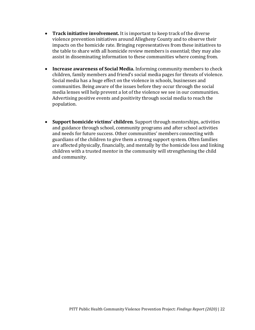- **Track initiative involvement.** It is important to keep track of the diverse violence prevention initiatives around Allegheny County and to observe their impacts on the homicide rate. Bringing representatives from these initiatives to the table to share with all homicide review members is essential; they may also assist in disseminating information to these communities where coming from.
- **Increase awareness of Social Media.** Informing community members to check children, family members and friend's social media pages for threats of violence. Social media has a huge effect on the violence in schools, businesses and communities. Being aware of the issues before they occur through the social media lenses will help prevent a lot of the violence we see in our communities. Advertising positive events and positivity through social media to reach the population.
- **Support homicide victims' children**. Support through mentorships, activities and guidance through school, community programs and after school activities and needs for future success. Other communities' members connecting with guardians of the children to give them a strong support system. Often families are affected physically, financially, and mentally by the homicide loss and linking children with a trusted mentor in the community will strengthening the child and community.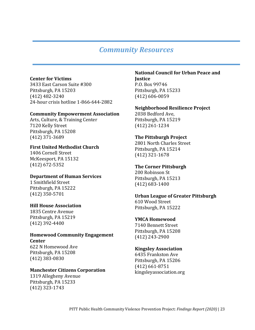### *Community Resources*

#### **Center for Victims**

3433 East Carson Suite #300 Pittsburgh, PA 15203 (412) 482-3240 24-hour crisis hotline 1-866-644-2882

#### **Community Empowerment Association**

Arts, Culture, & Training Center 7120 Kelly Street Pittsburgh, PA 15208 (412) 371-3689

#### **First United Methodist Church**

1406 Cornell Street McKeesport, PA 15132 (412) 672-5352

#### **Department of Human Services**

1 Smithfield Street Pittsburgh, PA 15222 (412) 350-5701

#### **Hill House Association**

1835 Centre Avenue Pittsburgh, PA 15219 (412) 392-4400

#### **Homewood Community Engagement Center**

622 N Homewood Ave Pittsburgh, PA 15208 (412) 383-0830

#### **Manchester Citizens Corporation**

1319 Allegheny Avenue Pittsburgh, PA 15233 (412) 323-1743

#### **National Council for Urban Peace and Justice**

P.O. Box 99746 Pittsburgh, PA 15233 (412) 606-0059

#### **Neighborhood Resilience Project**

2038 Bedford Ave, Pittsburgh, PA 15219 (412) 261-1234

#### **The Pittsburgh Project**

2801 North Charles Street Pittsburgh, PA 15214 (412) 321-1678

#### **The Corner Pittsburgh**

200 Robinson St Pittsburgh, PA 15213 (412) 683-1400

#### **Urban League of Greater Pittsburgh**

610 Wood Street Pittsburgh, PA 15222

#### **YMCA Homewood**

7140 Bennett Street Pittsburgh, PA 15208 (412) 243-2900

#### **Kingsley Association**

6435 Frankston Ave Pittsburgh, PA 15206 (412) 661-8751 kingsleyassociation.org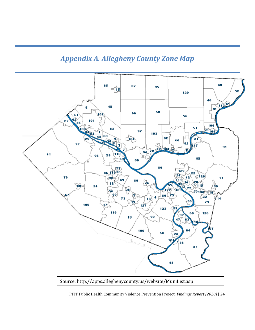### *Appendix A. Allegheny County Zone Map*



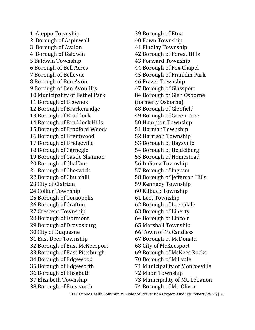1 Aleppo Township 2 Borough of Aspinwall 3 Borough of Avalon 4 Borough of Baldwin 5 Baldwin Township 6 Borough of Bell Acres 7 Borough of Bellevue 8 Borough of Ben Avon 9 Borough of Ben Avon Hts. 10 Municipality of Bethel Park 11 Borough of Blawnox 12 Borough of Brackenridge 13 Borough of Braddock 14 Borough of Braddock Hills 15 Borough of Bradford Woods 16 Borough of Brentwood 17 Borough of Bridgeville 18 Borough of Carnegie 19 Borough of Castle Shannon 20 Borough of Chalfant 21 Borough of Cheswick 22 Borough of Churchill 23 City of Clairton 24 Collier Township 25 Borough of Coraopolis 26 Borough of Crafton 27 Crescent Township 28 Borough of Dormont 29 Borough of Dravosburg 30 City of Duquesne 31 East Deer Township 32 Borough of East McKeesport 33 Borough of East Pittsburgh 34 Borough of Edgewood 35 Borough of Edgeworth 36 Borough of Elizabeth 37 Elizabeth Township 38 Borough of Emsworth

39 Borough of Etna 40 Fawn Township 41 Findlay Township 42 Borough of Forest Hills 43 Forward Township 44 Borough of Fox Chapel 45 Borough of Franklin Park 46 Frazer Township 47 Borough of Glassport 84 Borough of Glen Osborne (formerly Osborne) 48 Borough of Glenfield 49 Borough of Green Tree 50 Hampton Township 51 Harmar Township 52 Harrison Township 53 Borough of Haysville 54 Borough of Heidelberg 55 Borough of Homestead 56 Indiana Township 57 Borough of Ingram 58 Borough of Jefferson Hills 59 Kennedy Township 60 Kilbuck Township 61 Leet Township 62 Borough of Leetsdale 63 Borough of Liberty 64 Borough of Lincoln 65 Marshall Township 66 Town of McCandless 67 Borough of McDonald 68 City of McKeesport 69 Borough of McKees Rocks 70 Borough of Millvale 71 Municipality of Monroeville 72 Moon Township 73 Municipality of Mt. Lebanon 74 Borough of Mt. Oliver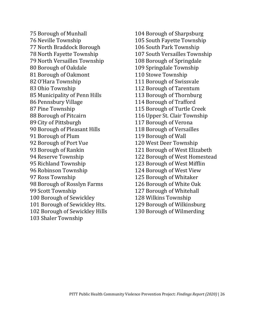75 Borough of Munhall 76 Neville Township 77 North Braddock Borough 78 North Fayette Township 79 North Versailles Township 80 Borough of Oakdale 81 Borough of Oakmont 82 O'Hara Township 83 Ohio Township 85 Municipality of Penn Hills 86 Pennsbury Village 87 Pine Township 88 Borough of Pitcairn 89 City of Pittsburgh 90 Borough of Pleasant Hills 91 Borough of Plum 92 Borough of Port Vue 93 Borough of Rankin 94 Reserve Township 95 Richland Township 96 Robinson Township 97 Ross Township 98 Borough of Rosslyn Farms 99 Scott Township 100 Borough of Sewickley 101 Borough of Sewickley Hts. 102 Borough of Sewickley Hills 103 Shaler Township

104 Borough of Sharpsburg 105 South Fayette Township 106 South Park Township 107 South Versailles Township 108 Borough of Springdale 109 Springdale Township 110 Stowe Township 111 Borough of Swissvale 112 Borough of Tarentum 113 Borough of Thornburg 114 Borough of Trafford 115 Borough of Turtle Creek 116 Upper St. Clair Township 117 Borough of Verona 118 Borough of Versailles 119 Borough of Wall 120 West Deer Township 121 Borough of West Elizabeth 122 Borough of West Homestead 123 Borough of West Mifflin 124 Borough of West View 125 Borough of Whitaker 126 Borough of White Oak 127 Borough of Whitehall 128 Wilkins Township 129 Borough of Wilkinsburg 130 Borough of Wilmerding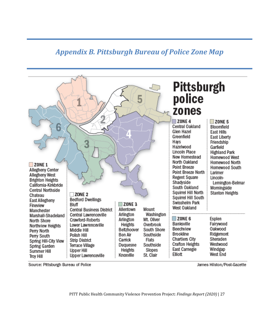### *Appendix B. Pittsburgh Bureau of Police Zone Map*



Source: Pittsburgh Bureau of Police

James Hilston/Post-Gazette